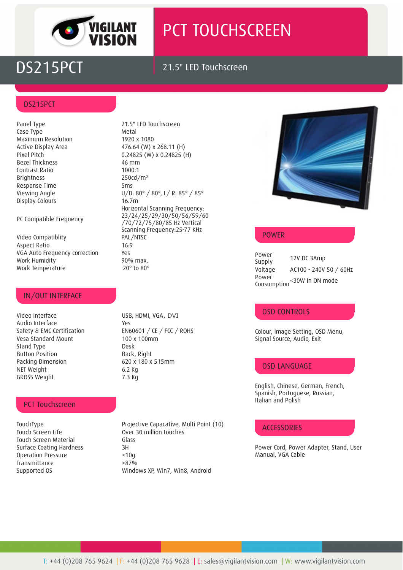

# PCT TOUCHSCREEN

## DS215PCT 21.5" LED Touchscreen

#### DS215PCT

Case Type Metal Maximum Resolution 1920 x 1080 Bezel Thickness 46 mm Contrast Ratio 1000:1 Brightness 250cd/m² Response Time 5ms Display Colours 16.7m

PC Compatible Frequency

Video Compatiblity PAL/NTSC Aspect Ratio 16:9 VGA Auto Frequency correction Yes Work Humidity 90% max. Work Temperature -20° to 80°

#### IN/OUT INTERFACE

Video Interface USB, HDMI, VGA , DVIAudio Interface Yes Vesa Standard Mount 100 x 100mm Stand Type Desk Button Position **Back, Right** Packing Dimension 620 x 180 x 515mm NET Weight 6.2 Kg GROSS Weight 7.3 Kg

#### PCT Touchscreen

Touch Screen Life **Conserverse Cover 30 million touches** Touch Screen Material Glass Surface Coating Hardness 3H<br>Operation Pressure <10q Operation Pressure Transmittance >87%

Panel Type 21.5" LED Touchscreen Active Display Area 476.64 (W) x 268.11 (H) Pixel Pitch 0.24825 (W) x 0.24825 (H) Viewing Angle U/D: 80° / 80°, L/ R: 85° / 85° Horizontal Scanning Frequency: 23/24/25/29/30/50/56/59/60 /70/72/75/80/85 Hz Vertical Scanning Frequency:25-77 KHz

Safety & EMC Certification EN60601 / CE / FCC / ROHS

TouchType **Projective Capacative, Multi Point (10)** Supported OS Windows XP, Win7, Win8, Android



#### POWER

Power Supply 12V DC 3Amp Voltage AC100 -240V 50 / 60Hz Power Consumption <30W in ON mode

#### OSD CONTROLS

Colour, Image Setting, OSD Menu, Signal Source, Audio, Exit

### OSD LANGUAGE

English, Chinese, German, French, Spanish, Portuguese, Russian, Italian and Polish

#### **ACCESSORIES**

Power Cord, Power Adapter, Stand, User Manual, VGA Cable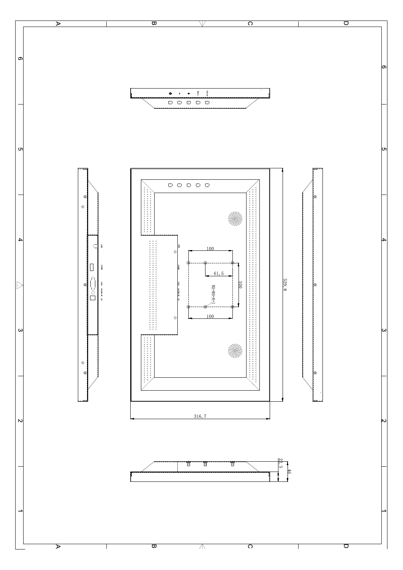